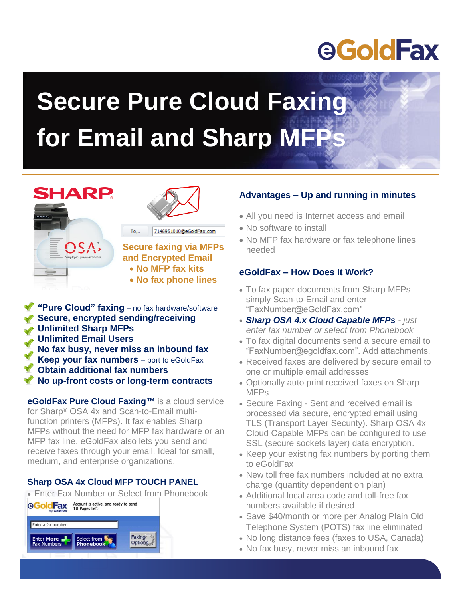## **eGoldFax**

# **Secure Pure Cloud Faxing for Email and Sharp MFP**

### **SHARP**





7146951010@eGoldFax.com  $To_{20}$ **Secure faxing via MFPs** 

**and Encrypted Email No MFP fax kits** 

- **No fax phone lines**
- **"Pure Cloud" faxing** no fax hardware/software **Secure, encrypted sending/receiving Unlimited Sharp MFPs Unlimited Email Users No fax busy, never miss an inbound fax Keep your fax numbers** – port to eGoldFax **Obtain additional fax numbers No up-front costs or long-term contracts**

**eGoldFax Pure Cloud Faxing**™ is a cloud service for Sharp® OSA 4x and Scan-to-Email multifunction printers (MFPs). It fax enables Sharp MFPs without the need for MFP fax hardware or an MFP fax line. eGoldFax also lets you send and receive faxes through your email. Ideal for small, medium, and enterprise organizations.

#### **Sharp OSA 4x Cloud MFP TOUCH PANEL**

• Enter Fax Number or Select from Phonebook<br>**©GoldFax** Account is active, and ready to send<br>©GoldFax 18 Pages Left



#### **Advantages – Up and running in minutes**

- All you need is Internet access and email
- No software to install
- No MFP fax hardware or fax telephone lines needed

#### **eGoldFax – How Does It Work?**

- To fax paper documents from Sharp MFPs simply Scan-to-Email and enter "FaxNumber@eGoldFax.com"
- *Sharp OSA 4.x Cloud Capable MFPs - just enter fax number or select from Phonebook*
- To fax digital documents send a secure email to "FaxNumber@egoldfax.com". Add attachments.
- Received faxes are delivered by secure email to one or multiple email addresses
- Optionally auto print received faxes on Sharp MFPs
- Secure Faxing Sent and received email is processed via secure, encrypted email using TLS (Transport Layer Security). Sharp OSA 4x Cloud Capable MFPs can be configured to use SSL (secure sockets layer) data encryption.
- Keep your existing fax numbers by porting them to eGoldFax
- New toll free fax numbers included at no extra charge (quantity dependent on plan)
- Additional local area code and toll-free fax numbers available if desired
- Save \$40/month or more per Analog Plain Old Telephone System (POTS) fax line eliminated
- No long distance fees (faxes to USA, Canada)
- No fax busy, never miss an inbound fax